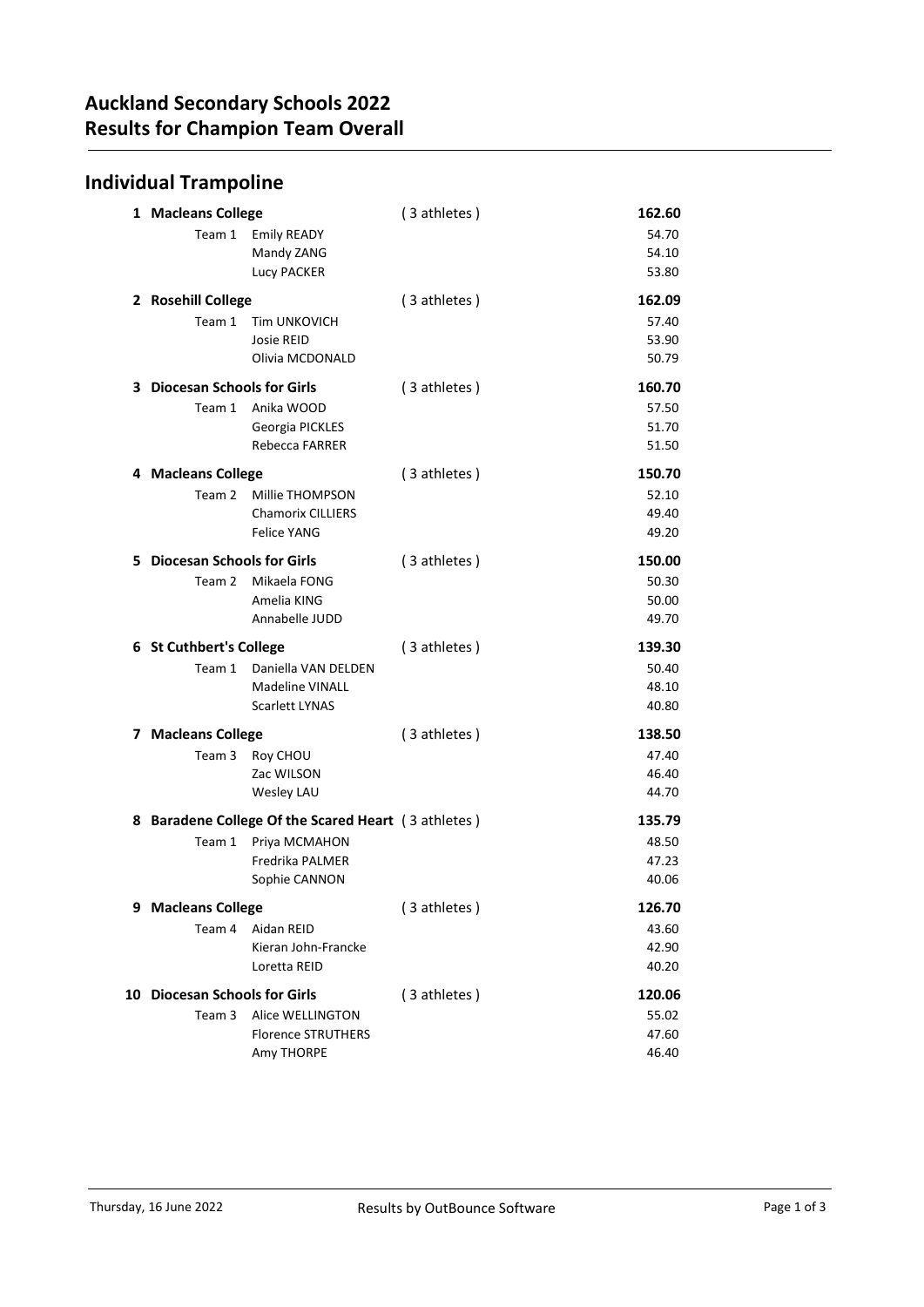## Individual Trampoline

| 1 Macleans College                  |                                                     | (3 athletes) | 162.60         |
|-------------------------------------|-----------------------------------------------------|--------------|----------------|
| Team 1                              | <b>Emily READY</b>                                  |              | 54.70          |
|                                     | Mandy ZANG                                          |              | 54.10          |
|                                     | Lucy PACKER                                         |              | 53.80          |
| 2 Rosehill College                  |                                                     | (3 athletes) | 162.09         |
| Team 1                              | <b>Tim UNKOVICH</b>                                 |              | 57.40          |
|                                     | Josie REID                                          |              | 53.90          |
|                                     | Olivia MCDONALD                                     |              | 50.79          |
| <b>3</b> Diocesan Schools for Girls |                                                     | (3 athletes) | 160.70         |
| Team 1                              | Anika WOOD                                          |              | 57.50          |
|                                     | Georgia PICKLES                                     |              | 51.70          |
|                                     | Rebecca FARRER                                      |              | 51.50          |
| 4 Macleans College                  |                                                     | (3 athletes) | 150.70         |
| Team 2                              | Millie THOMPSON                                     |              | 52.10          |
|                                     | <b>Chamorix CILLIERS</b>                            |              | 49.40          |
|                                     | <b>Felice YANG</b>                                  |              | 49.20          |
| 5 Diocesan Schools for Girls        |                                                     | (3 athletes) | 150.00         |
| Team 2                              | Mikaela FONG                                        |              | 50.30          |
|                                     | Amelia KING                                         |              | 50.00          |
|                                     | Annabelle JUDD                                      |              | 49.70          |
|                                     |                                                     |              |                |
| 6 St Cuthbert's College             |                                                     | (3 athletes) | 139.30         |
| Team 1                              | Daniella VAN DELDEN                                 |              | 50.40          |
|                                     | <b>Madeline VINALL</b>                              |              | 48.10          |
|                                     | <b>Scarlett LYNAS</b>                               |              | 40.80          |
| 7 Macleans College                  |                                                     | (3 athletes) | 138.50         |
| Team 3                              | Roy CHOU                                            |              | 47.40          |
|                                     | Zac WILSON                                          |              | 46.40          |
|                                     | Wesley LAU                                          |              | 44.70          |
|                                     | 8 Baradene College Of the Scared Heart (3 athletes) |              | 135.79         |
| Team 1                              | Priya MCMAHON                                       |              | 48.50          |
|                                     | <b>Fredrika PALMER</b>                              |              | 47.23          |
|                                     | Sophie CANNON                                       |              | 40.06          |
| 9 Macleans College                  |                                                     | (3 athletes) | 126.70         |
| Team 4                              | Aidan REID                                          |              | 43.60          |
|                                     | Kieran John-Francke                                 |              | 42.90          |
|                                     | Loretta REID                                        |              | 40.20          |
| 10 Diocesan Schools for Girls       |                                                     | (3 athletes) | 120.06         |
| Team 3                              | Alice WELLINGTON                                    |              | 55.02          |
|                                     | <b>Florence STRUTHERS</b><br>Amy THORPE             |              | 47.60<br>46.40 |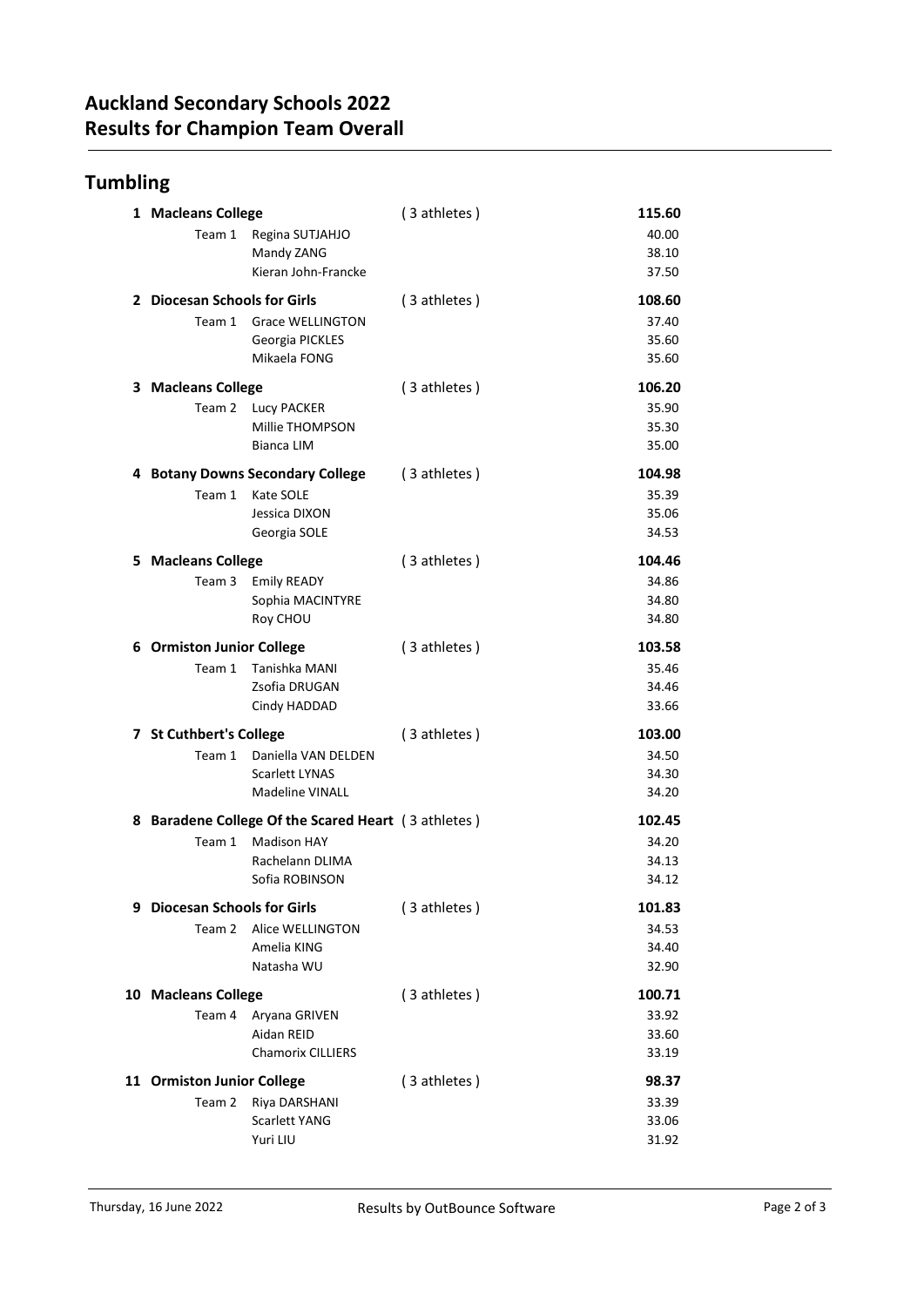## Tumbling

|   | 1 Macleans College                |                                                     | (3 athletes) | 115.60 |
|---|-----------------------------------|-----------------------------------------------------|--------------|--------|
|   | Team 1                            | Regina SUTJAHJO                                     |              | 40.00  |
|   |                                   | Mandy ZANG                                          |              | 38.10  |
|   |                                   | Kieran John-Francke                                 |              | 37.50  |
|   | 2 Diocesan Schools for Girls      |                                                     | (3 athletes) | 108.60 |
|   | Team 1                            | <b>Grace WELLINGTON</b>                             |              | 37.40  |
|   |                                   | Georgia PICKLES                                     |              | 35.60  |
|   |                                   | Mikaela FONG                                        |              | 35.60  |
|   | 3 Macleans College                |                                                     | (3 athletes) | 106.20 |
|   | Team 2                            | <b>Lucy PACKER</b>                                  |              | 35.90  |
|   |                                   | Millie THOMPSON                                     |              | 35.30  |
|   |                                   | <b>Bianca LIM</b>                                   |              | 35.00  |
|   |                                   | 4 Botany Downs Secondary College                    | (3 athletes) | 104.98 |
|   | Team 1                            | Kate SOLE                                           |              | 35.39  |
|   |                                   | Jessica DIXON                                       |              | 35.06  |
|   |                                   | Georgia SOLE                                        |              | 34.53  |
|   | 5 Macleans College                |                                                     | (3 athletes) | 104.46 |
|   | Team 3                            | <b>Emily READY</b>                                  |              | 34.86  |
|   |                                   | Sophia MACINTYRE                                    |              | 34.80  |
|   |                                   | Roy CHOU                                            |              | 34.80  |
|   | 6 Ormiston Junior College         |                                                     | (3 athletes) | 103.58 |
|   | Team 1                            | Tanishka MANI                                       |              | 35.46  |
|   |                                   | Zsofia DRUGAN                                       |              | 34.46  |
|   |                                   | Cindy HADDAD                                        |              | 33.66  |
|   | 7 St Cuthbert's College           |                                                     | (3 athletes) | 103.00 |
|   | Team 1                            | Daniella VAN DELDEN                                 |              | 34.50  |
|   |                                   | <b>Scarlett LYNAS</b>                               |              | 34.30  |
|   | <b>Madeline VINALL</b>            |                                                     |              | 34.20  |
|   |                                   | 8 Baradene College Of the Scared Heart (3 athletes) |              | 102.45 |
|   | Team 1                            | <b>Madison HAY</b>                                  |              | 34.20  |
|   |                                   | Rachelann DLIMA<br>Sofia ROBINSON                   |              | 34.13  |
|   |                                   |                                                     |              | 34.12  |
| 9 | <b>Diocesan Schools for Girls</b> |                                                     | (3 athletes) | 101.83 |
|   | Team 2                            | Alice WELLINGTON                                    |              | 34.53  |
|   |                                   | Amelia KING                                         |              | 34.40  |
|   |                                   | Natasha WU                                          |              | 32.90  |
|   | 10 Macleans College               |                                                     | (3 athletes) | 100.71 |
|   | Team 4                            | Aryana GRIVEN                                       |              | 33.92  |
|   |                                   | Aidan REID                                          |              | 33.60  |
|   |                                   | <b>Chamorix CILLIERS</b>                            |              | 33.19  |
|   | 11 Ormiston Junior College        |                                                     | (3 athletes) | 98.37  |
|   | Team 2                            | Riya DARSHANI                                       |              | 33.39  |
|   |                                   | <b>Scarlett YANG</b>                                |              | 33.06  |
|   |                                   | Yuri LIU                                            |              | 31.92  |